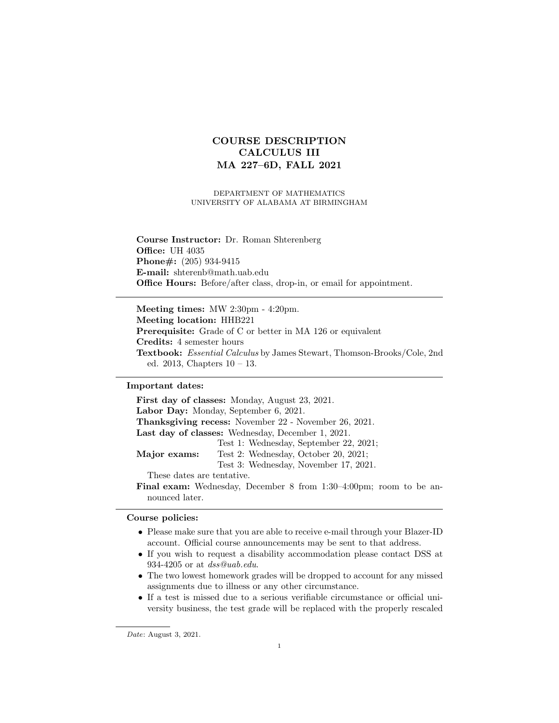# COURSE DESCRIPTION CALCULUS III MA 227–6D, FALL 2021

DEPARTMENT OF MATHEMATICS UNIVERSITY OF ALABAMA AT BIRMINGHAM

Course Instructor: Dr. Roman Shterenberg **Office: UH 4035** Phone#: (205) 934-9415 E-mail: shterenb@math.uab.edu Office Hours: Before/after class, drop-in, or email for appointment.

Meeting times: MW 2:30pm - 4:20pm. Meeting location: HHB221 Prerequisite: Grade of C or better in MA 126 or equivalent Credits: 4 semester hours Textbook: Essential Calculus by James Stewart, Thomson-Brooks/Cole, 2nd ed. 2013, Chapters 10 – 13.

## Important dates:

|                            | First day of classes: Monday, August 23, 2021.                            |
|----------------------------|---------------------------------------------------------------------------|
|                            | Labor Day: Monday, September 6, 2021.                                     |
|                            | Thanksgiving recess: November 22 - November 26, 2021.                     |
|                            | Last day of classes: Wednesday, December 1, 2021.                         |
|                            | Test 1: Wednesday, September 22, 2021;                                    |
| Major exams:               | Test 2: Wednesday, October 20, 2021;                                      |
|                            | Test 3: Wednesday, November 17, 2021.                                     |
| These dates are tentative. |                                                                           |
|                            | <b>Final exam:</b> Wednesday, December 8 from 1:30-4:00pm; room to be an- |
| nounced later.             |                                                                           |

#### Course policies:

- Please make sure that you are able to receive e-mail through your Blazer-ID account. Official course announcements may be sent to that address.
- If you wish to request a disability accommodation please contact DSS at 934-4205 or at dss@uab.edu.
- The two lowest homework grades will be dropped to account for any missed assignments due to illness or any other circumstance.
- If a test is missed due to a serious verifiable circumstance or official university business, the test grade will be replaced with the properly rescaled

Date: August 3, 2021.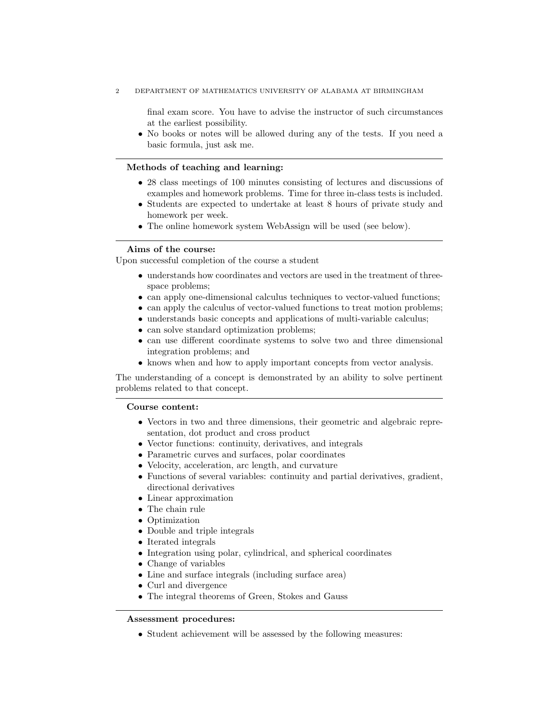2 DEPARTMENT OF MATHEMATICS UNIVERSITY OF ALABAMA AT BIRMINGHAM

final exam score. You have to advise the instructor of such circumstances at the earliest possibility.

• No books or notes will be allowed during any of the tests. If you need a basic formula, just ask me.

#### Methods of teaching and learning:

- 28 class meetings of 100 minutes consisting of lectures and discussions of examples and homework problems. Time for three in-class tests is included.
- Students are expected to undertake at least 8 hours of private study and homework per week.
- The online homework system WebAssign will be used (see below).

#### Aims of the course:

Upon successful completion of the course a student

- understands how coordinates and vectors are used in the treatment of threespace problems;
- can apply one-dimensional calculus techniques to vector-valued functions;
- can apply the calculus of vector-valued functions to treat motion problems;
- understands basic concepts and applications of multi-variable calculus;
- can solve standard optimization problems;
- can use different coordinate systems to solve two and three dimensional integration problems; and
- knows when and how to apply important concepts from vector analysis.

The understanding of a concept is demonstrated by an ability to solve pertinent problems related to that concept.

### Course content:

- Vectors in two and three dimensions, their geometric and algebraic representation, dot product and cross product
- Vector functions: continuity, derivatives, and integrals
- Parametric curves and surfaces, polar coordinates
- Velocity, acceleration, arc length, and curvature
- Functions of several variables: continuity and partial derivatives, gradient, directional derivatives
- Linear approximation
- The chain rule
- Optimization
- Double and triple integrals
- Iterated integrals
- Integration using polar, cylindrical, and spherical coordinates
- Change of variables
- Line and surface integrals (including surface area)
- Curl and divergence
- The integral theorems of Green, Stokes and Gauss

### Assessment procedures:

• Student achievement will be assessed by the following measures: